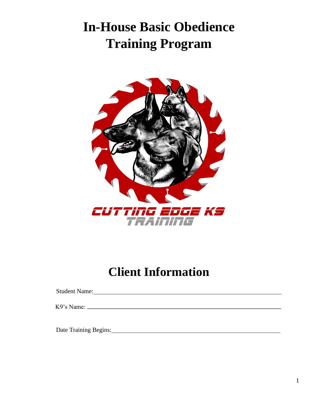# **In-House Basic Obedience Training Program**



## **Client Information**

Student Name:

K9's Name:

Date Training Begins: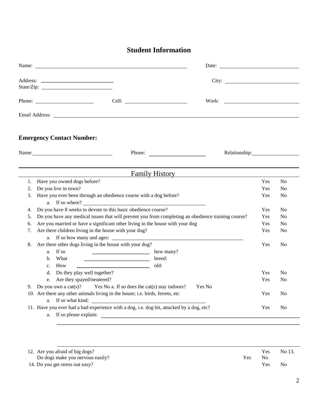### **Student Information**

|                      | Name: Name and the state of the state of the state of the state of the state of the state of the state of the state of the state of the state of the state of the state of the state of the state of the state of the state of                                                                                                                                                                        |                          |                                                    |
|----------------------|-------------------------------------------------------------------------------------------------------------------------------------------------------------------------------------------------------------------------------------------------------------------------------------------------------------------------------------------------------------------------------------------------------|--------------------------|----------------------------------------------------|
|                      | City:                                                                                                                                                                                                                                                                                                                                                                                                 |                          |                                                    |
|                      |                                                                                                                                                                                                                                                                                                                                                                                                       |                          |                                                    |
|                      |                                                                                                                                                                                                                                                                                                                                                                                                       |                          |                                                    |
|                      | <b>Emergency Contact Number:</b>                                                                                                                                                                                                                                                                                                                                                                      |                          |                                                    |
|                      | Name:<br>Phone:                                                                                                                                                                                                                                                                                                                                                                                       |                          |                                                    |
|                      | <b>Family History</b>                                                                                                                                                                                                                                                                                                                                                                                 |                          |                                                    |
| 1.<br>2.<br>3.       | Have you owned dogs before?<br>Do you live in town?<br>Have you ever been through an obedience course with a dog before?<br>a. If so where?                                                                                                                                                                                                                                                           | Yes<br>Yes<br>Yes        | N <sub>o</sub><br>N <sub>0</sub><br>N <sub>0</sub> |
| 4.<br>5.<br>6.<br>7. | Do you have 8 weeks to devote to this basic obedience course?<br>Do you have any medical issues that will prevent you from completing an obedience training course?<br>Are you married or have a significant other living in the house with your dog<br>Are there children living in the house with your dog?                                                                                         | Yes<br>Yes<br>Yes<br>Yes | N <sub>o</sub><br>N <sub>0</sub><br>No<br>No       |
| 8.                   | <u> 1980 - Johann Barn, mars ann an t-Amhain Aonaichte ann an t-Amhain Aonaichte ann an t-Amhain Aonaichte ann an</u><br>Are there other dogs living in the house with your dog?<br>If so<br>how many?<br>a.<br>What<br>breed:<br>$\mathbf b$ .<br><u> Albany a Carlo Carlo Carlo Carlo Carlo Carlo Carlo Carlo Carlo Carlo Carlo Carlo Carlo Carlo Carlo Carlo Car</u><br>old:<br>How<br>$c_{\cdot}$ | Yes                      | N <sub>0</sub>                                     |
| 9.                   | d. Do they play well together?<br>e. Are they spayed/neutered?<br>Yes No                                                                                                                                                                                                                                                                                                                              | Yes<br>Yes               | N <sub>o</sub><br>N <sub>o</sub>                   |
|                      | Do you own a cat(s)? Yes No a. If so does the cat(s) stay indoors?<br>10. Are there any other animals living in the house; i.e. birds, ferrets, etc<br>a. If so what kind:                                                                                                                                                                                                                            | Yes                      | N <sub>0</sub>                                     |
|                      | 11. Have you ever had a bad experience with a dog, i.e. dog bit, attacked by a dog, etc?                                                                                                                                                                                                                                                                                                              | Yes                      | N <sub>o</sub>                                     |

| 12. Are you afraid of big dogs?  |     | Yes | No 13. |
|----------------------------------|-----|-----|--------|
| Do dogs make you nervous easily? | Yes | No  |        |
| 14. Do you get stress out easy?  |     | Yes | No     |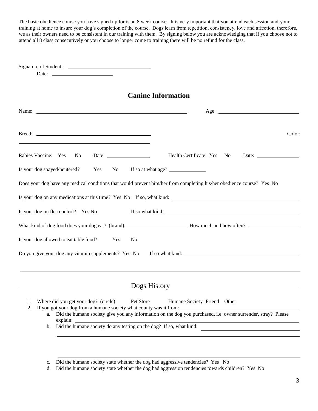The basic obedience course you have signed up for is an 8 week course. It is very important that you attend each session and your training at home to insure your dog's completion of the course. Dogs learn from repetition, consistency, love and affection, therefore, we as their owners need to be consistent in our training with them. By signing below you are acknowledging that if you choose not to attend all 8 class consecutively or you choose to longer come to training there will be no refund for the class.

| Date: $\frac{1}{\sqrt{1-\frac{1}{2}} \cdot \frac{1}{2}}$                                                                                                                                                                                                                                                                                                                     |
|------------------------------------------------------------------------------------------------------------------------------------------------------------------------------------------------------------------------------------------------------------------------------------------------------------------------------------------------------------------------------|
| <b>Canine Information</b>                                                                                                                                                                                                                                                                                                                                                    |
| Age: $\qquad \qquad$                                                                                                                                                                                                                                                                                                                                                         |
| Color:                                                                                                                                                                                                                                                                                                                                                                       |
| Rabies Vaccine: Yes No<br>Health Certificate: Yes No Date:<br>Date: $\qquad \qquad$                                                                                                                                                                                                                                                                                          |
| Is your dog spayed/neutered? Yes No If so at what age?                                                                                                                                                                                                                                                                                                                       |
| Does your dog have any medical conditions that would prevent him/her from completing his/her obedience course? Yes No                                                                                                                                                                                                                                                        |
| Is your dog on any medications at this time? Yes No If so, what kind:<br>Is your dog on flea control? Yes No                                                                                                                                                                                                                                                                 |
| What kind of dog food does your dog eat? (brand) How much and how often?                                                                                                                                                                                                                                                                                                     |
| Is your dog allowed to eat table food? Yes<br>No                                                                                                                                                                                                                                                                                                                             |
| Do you give your dog any vitamin supplements? Yes No<br>If so what kind:                                                                                                                                                                                                                                                                                                     |
| Dogs History                                                                                                                                                                                                                                                                                                                                                                 |
| Pet Store<br>Where did you get your dog? (circle)<br>Humane Society Friend Other<br>1.<br>If you got your dog from a humane society what county was it from:<br>a. Did the humane society give you any information on the dog you purchased, i.e. owner surrender, stray? Please<br>2.<br>explain:<br>b. Did the humane society do any testing on the dog? If so, what kind: |
|                                                                                                                                                                                                                                                                                                                                                                              |

c. Did the humane society state whether the dog had aggressive tendencies? Yes No

d. Did the humane society state whether the dog had aggression tendencies towards children? Yes No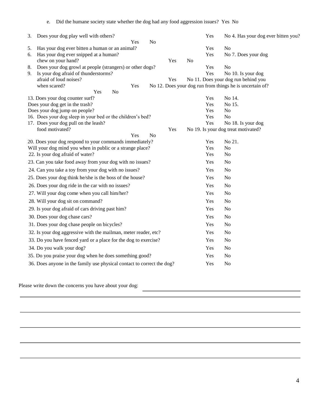| 3. | Does your dog play well with others?                                   |                | Yes | No 4. Has your dog ever bitten you?                      |
|----|------------------------------------------------------------------------|----------------|-----|----------------------------------------------------------|
|    | Yes<br>N <sub>o</sub>                                                  |                |     |                                                          |
| 5. | Has your dog ever bitten a human or an animal?                         |                | Yes | N <sub>o</sub>                                           |
| 6. | Has your dog ever snipped at a human?                                  |                | Yes | No 7. Does your dog                                      |
|    | chew on your hand?<br>Yes                                              | N <sub>o</sub> |     |                                                          |
| 8. | Does your dog growl at people (strangers) or other dogs?               |                | Yes | N <sub>o</sub>                                           |
| 9. | Is your dog afraid of thunderstorms?                                   |                | Yes | No 10. Is your dog                                       |
|    | afraid of loud noises?<br>Yes<br>when scared?                          |                |     | No 11. Does your dog run behind you                      |
|    | Yes<br>N <sub>o</sub><br>Yes                                           |                |     | No 12. Does your dog run from things he is uncertain of? |
|    | 13. Does your dog counter surf?                                        |                | Yes | No 14.                                                   |
|    | Does your dog get in the trash?                                        |                | Yes | No 15.                                                   |
|    | Does your dog jump on people?                                          |                | Yes | N <sub>o</sub>                                           |
|    | 16. Does your dog sleep in your bed or the children's bed?             |                | Yes | No                                                       |
|    | 17. Does your dog pull on the leash?                                   |                | Yes | No 18. Is your dog                                       |
|    | food motivated?<br>Yes                                                 |                |     | No 19. Is your dog treat motivated?                      |
|    | Yes<br>N <sub>o</sub>                                                  |                |     |                                                          |
|    | 20. Does your dog respond to your commands immediately?                |                | Yes | No 21.                                                   |
|    | Will your dog mind you when in public or a strange place?              |                | Yes | N <sub>o</sub>                                           |
|    | 22. Is your dog afraid of water?                                       |                | Yes | No                                                       |
|    | 23. Can you take food away from your dog with no issues?               |                | Yes | N <sub>o</sub>                                           |
|    | 24. Can you take a toy from your dog with no issues?                   |                | Yes | No                                                       |
|    | 25. Does your dog think he/she is the boss of the house?               |                | Yes | N <sub>o</sub>                                           |
|    | 26. Does your dog ride in the car with no issues?                      |                | Yes | N <sub>o</sub>                                           |
|    | 27. Will your dog come when you call him/her?                          |                | Yes | No                                                       |
|    | 28. Will your dog sit on command?                                      |                | Yes | N <sub>o</sub>                                           |
|    | 29. Is your dog afraid of cars driving past him?                       |                | Yes | N <sub>o</sub>                                           |
|    | 30. Does your dog chase cars?                                          |                | Yes | N <sub>o</sub>                                           |
|    | 31. Does your dog chase people on bicycles?                            |                | Yes | N <sub>o</sub>                                           |
|    | 32. Is your dog aggressive with the mailman, meter reader, etc?        |                | Yes | N <sub>o</sub>                                           |
|    | 33. Do you have fenced yard or a place for the dog to exercise?        |                | Yes | N <sub>o</sub>                                           |
|    | 34. Do you walk your dog?                                              |                | Yes | <b>No</b>                                                |
|    | 35. Do you praise your dog when he does something good?                |                | Yes | N <sub>o</sub>                                           |
|    | 36. Does anyone in the family use physical contact to correct the dog? |                | Yes | N <sub>o</sub>                                           |

Please write down the concerns you have about your dog: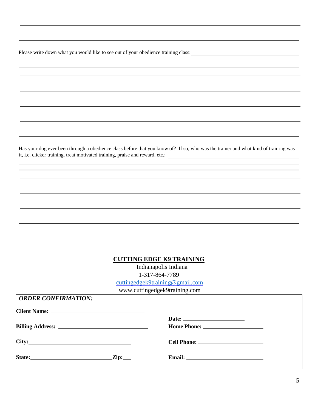Please write down what you would like to see out of your obedience training class:

Has your dog ever been through a obedience class before that you know of? If so, who was the trainer and what kind of training was it, i.e. clicker training, treat motivated training, praise and reward, etc.:

#### **CUTTING EDGE K9 TRAINING**

 Indianapolis Indiana 1-317-864-7789 [cuttingedgek9training@gmail.com](mailto:cuttingedgek9training@gmail.com)

www.cuttingedgek9training.com

| <b>ORDER CONFIRMATION:</b> |  |
|----------------------------|--|
|                            |  |
|                            |  |
|                            |  |
| City:                      |  |
| $\mathbf{Zip:}$            |  |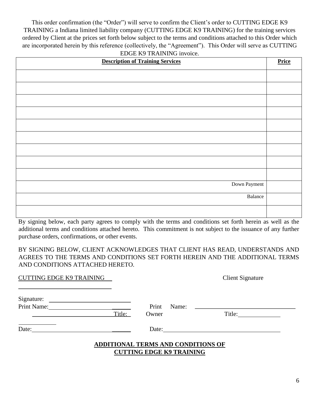This order confirmation (the "Order") will serve to confirm the Client's order to CUTTING EDGE K9 TRAINING a Indiana limited liability company (CUTTING EDGE K9 TRAINING) for the training services ordered by Client at the prices set forth below subject to the terms and conditions attached to this Order which are incorporated herein by this reference (collectively, the "Agreement"). This Order will serve as CUTTING EDGE K9 TRAINING invoice.

| <b>Description of Training Services</b> | Price |
|-----------------------------------------|-------|
|                                         |       |
|                                         |       |
|                                         |       |
|                                         |       |
|                                         |       |
|                                         |       |
|                                         |       |
|                                         |       |
|                                         |       |
| Down Payment                            |       |
| Balance                                 |       |
|                                         |       |

By signing below, each party agrees to comply with the terms and conditions set forth herein as well as the additional terms and conditions attached hereto. This commitment is not subject to the issuance of any further purchase orders, confirmations, or other events.

BY SIGNING BELOW, CLIENT ACKNOWLEDGES THAT CLIENT HAS READ, UNDERSTANDS AND AGREES TO THE TERMS AND CONDITIONS SET FORTH HEREIN AND THE ADDITIONAL TERMS AND CONDITIONS ATTACHED HERETO.

| <b>CUTTING EDGE K9 TRAINING</b> |                                                                              | <b>Client Signature</b>         |  |
|---------------------------------|------------------------------------------------------------------------------|---------------------------------|--|
|                                 |                                                                              |                                 |  |
| Print Name:<br>Title:           | Print<br>Owner                                                               | Name: $\qquad \qquad$<br>Title: |  |
| Date:                           |                                                                              | Date:                           |  |
|                                 | <b>ADDITIONAL TERMS AND CONDITIONS OF</b><br><b>CUTTING EDGE K9 TRAINING</b> |                                 |  |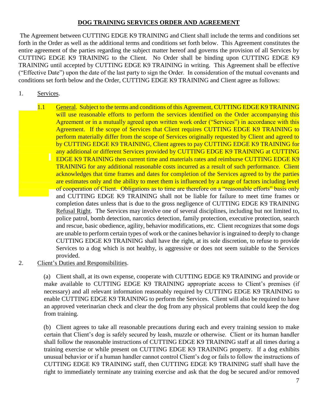### **DOG TRAINING SERVICES ORDER AND AGREEMENT**

The Agreement between CUTTING EDGE K9 TRAINING and Client shall include the terms and conditions set forth in the Order as well as the additional terms and conditions set forth below. This Agreement constitutes the entire agreement of the parties regarding the subject matter hereof and governs the provision of all Services by CUTTING EDGE K9 TRAINING to the Client. No Order shall be binding upon CUTTING EDGE K9 TRAINING until accepted by CUTTING EDGE K9 TRAINING in writing. This Agreement shall be effective ("Effective Date") upon the date of the last party to sign the Order. In consideration of the mutual covenants and conditions set forth below and the Order, CUTTING EDGE K9 TRAINING and Client agree as follows:

### 1. Services.

1.1 General. Subject to the terms and conditions of this Agreement, CUTTING EDGE K9 TRAINING will use reasonable efforts to perform the services identified on the Order accompanying this Agreement or in a mutually agreed upon written work order ("Services") in accordance with this Agreement. If the scope of Services that Client requires CUTTING EDGE K9 TRAINING to perform materially differ from the scope of Services originally requested by Client and agreed to by CUTTING EDGE K9 TRAINING, Client agrees to pay CUTTING EDGE K9 TRAINING for any additional or different Services provided by CUTTING EDGE K9 TRAINING at CUTTING EDGE K9 TRAINING then current time and materials rates and reimburse CUTTING EDGE K9 TRAINING for any additional reasonable costs incurred as a result of such performance. Client acknowledges that time frames and dates for completion of the Services agreed to by the parties are estimates only and the ability to meet them is influenced by a range of factors including level of cooperation of Client. Obligations as to time are therefore on a "reasonable efforts" basis only and CUTTING EDGE K9 TRAINING shall not be liable for failure to meet time frames or completion dates unless that is due to the gross negligence of CUTTING EDGE K9 TRAINING Refusal Right. The Services may involve one of several disciplines, including but not limited to, police patrol, bomb detection, narcotics detection, family protection, executive protection, search and rescue, basic obedience, agility, behavior modifications, etc. Client recognizes that some dogs are unable to perform certain types of work or the canines behavior is ingrained to deeply to change CUTTING EDGE K9 TRAINING shall have the right, at its sole discretion, to refuse to provide Services to a dog which is not healthy, is aggressive or does not seem suitable to the Services provided.

#### 2. Client's Duties and Responsibilities.

(a) Client shall, at its own expense, cooperate with CUTTING EDGE K9 TRAINING and provide or make available to CUTTING EDGE K9 TRAINING appropriate access to Client's premises (if necessary) and all relevant information reasonably required by CUTTING EDGE K9 TRAINING to enable CUTTING EDGE K9 TRAINING to perform the Services. Client will also be required to have an approved veterinarian check and clear the dog from any physical problems that could keep the dog from training.

(b) Client agrees to take all reasonable precautions during each and every training session to make certain that Client's dog is safely secured by leash, muzzle or otherwise. Client or its human handler shall follow the reasonable instructions of CUTTING EDGE K9 TRAINING staff at all times during a training exercise or while present on CUTTING EDGE K9 TRAINING property. If a dog exhibits unusual behavior or if a human handler cannot control Client's dog or fails to follow the instructions of CUTTING EDGE K9 TRAINING staff, then CUTTING EDGE K9 TRAINING staff shall have the right to immediately terminate any training exercise and ask that the dog be secured and/or removed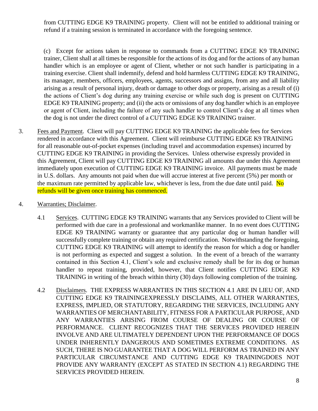from CUTTING EDGE K9 TRAINING property. Client will not be entitled to additional training or refund if a training session is terminated in accordance with the foregoing sentence.

(c) Except for actions taken in response to commands from a CUTTING EDGE K9 TRAINING trainer, Client shall at all times be responsible for the actions of its dog and for the actions of any human handler which is an employee or agent of Client, whether or not such handler is participating in a training exercise. Client shall indemnify, defend and hold harmless CUTTING EDGE K9 TRAINING, its manager, members, officers, employees, agents, successors and assigns, from any and all liability arising as a result of personal injury, death or damage to other dogs or property, arising as a result of (i) the actions of Client's dog during any training exercise or while such dog is present on CUTTING EDGE K9 TRAINING property; and (ii) the acts or omissions of any dog handler which is an employee or agent of Client, including the failure of any such handler to control Client's dog at all times when the dog is not under the direct control of a CUTTING EDGE K9 TRAINING trainer.

- 3. Fees and Payment. Client will pay CUTTING EDGE K9 TRAINING the applicable fees for Services rendered in accordance with this Agreement. Client will reimburse CUTTING EDGE K9 TRAINING for all reasonable out-of-pocket expenses (including travel and accommodation expenses) incurred by CUTTING EDGE K9 TRAINING in providing the Services. Unless otherwise expressly provided in this Agreement, Client will pay CUTTING EDGE K9 TRAINING all amounts due under this Agreement immediately upon execution of CUTTING EDGE K9 TRAINING invoice. All payments must be made in U.S. dollars. Any amounts not paid when due will accrue interest at five percent (5%) per month or the maximum rate permitted by applicable law, whichever is less, from the due date until paid.  $\overline{No}$ refunds will be given once training has commenced.
- 4. Warranties; Disclaimer.
	- 4.1 Services. CUTTING EDGE K9 TRAINING warrants that any Services provided to Client will be performed with due care in a professional and workmanlike manner. In no event does CUTTING EDGE K9 TRAINING warranty or guarantee that any particular dog or human handler will successfully complete training or obtain any required certification. Notwithstanding the foregoing, CUTTING EDGE K9 TRAINING will attempt to identify the reason for which a dog or handler is not performing as expected and suggest a solution. In the event of a breach of the warranty contained in this Section 4.1, Client's sole and exclusive remedy shall be for its dog or human handler to repeat training, provided, however, that Client notifies CUTTING EDGE K9 TRAINING in writing of the breach within thirty (30) days following completion of the training.
	- 4.2 Disclaimers. THE EXPRESS WARRANTIES IN THIS SECTION 4.1 ARE IN LIEU OF, AND CUTTING EDGE K9 TRAININGEXPRESSLY DISCLAIMS, ALL OTHER WARRANTIES, EXPRESS, IMPLIED, OR STATUTORY, REGARDING THE SERVICES, INCLUDING ANY WARRANTIES OF MERCHANTABILITY, FITNESS FOR A PARTICULAR PURPOSE, AND ANY WARRANTIES ARISING FROM COURSE OF DEALING OR COURSE OF PERFORMANCE. CLIENT RECOGNIZES THAT THE SERVICES PROVIDED HEREIN INVOLVE AND ARE ULTIMATELY DEPENDENT UPON THE PERFORMANCE OF DOGS UNDER INHERENTLY DANGEROUS AND SOMETIMES EXTREME CONDITIONS. AS SUCH, THERE IS NO GUARANTEE THAT A DOG WILL PERFORM AS TRAINED IN ANY PARTICULAR CIRCUMSTANCE AND CUTTING EDGE K9 TRAININGDOES NOT PROVIDE ANY WARRANTY (EXCEPT AS STATED IN SECTION 4.1) REGARDING THE SERVICES PROVIDED HEREIN.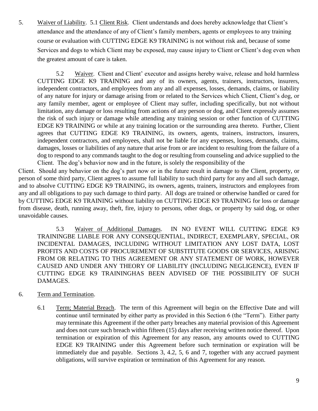5. Waiver of Liability. 5.1 Client Risk. Client understands and does hereby acknowledge that Client's attendance and the attendance of any of Client's family members, agents or employees to any training course or evaluation with CUTTING EDGE K9 TRAINING is not without risk and, because of some Services and dogs to which Client may be exposed, may cause injury to Client or Client's dog even when the greatest amount of care is taken.

5.2 Waiver. Client and Client' executor and assigns hereby waive, release and hold harmless CUTTING EDGE K9 TRAINING and any of its owners, agents, trainers, instructors, insurers, independent contractors, and employees from any and all expenses, losses, demands, claims, or liability of any nature for injury or damage arising from or related to the Services which Client, Client's dog, or any family member, agent or employee of Client may suffer, including specifically, but not without limitation, any damage or loss resulting from actions of any person or dog, and Client expressly assumes the risk of such injury or damage while attending any training session or other function of CUTTING EDGE K9 TRAINING or while at any training location or the surrounding area thereto. Further, Client agrees that CUTTING EDGE K9 TRAINING, its owners, agents, trainers, instructors, insurers, independent contractors, and employees, shall not be liable for any expenses, losses, demands, claims, damages, losses or liabilities of any nature that arise from or are incident to resulting from the failure of a dog to respond to any commands taught to the dog or resulting from counseling and advice supplied to the Client. The dog's behavior now and in the future, is solely the responsibility of the

Client. Should any behavior on the dog's part now or in the future result in damage to the Client, property, or person of some third party, Client agrees to assume full liability to such third party for any and all such damage, and to absolve CUTTING EDGE K9 TRAINING, its owners, agents, trainers, instructors and employees from any and all obligations to pay such damage to third party. All dogs are trained or otherwise handled or cared for by CUTTING EDGE K9 TRAINING without liability on CUTTING EDGE K9 TRAINING for loss or damage from disease, death, running away, theft, fire, injury to persons, other dogs, or property by said dog, or other unavoidable causes.

5.3 Waiver of Additional Damages. IN NO EVENT WILL CUTTING EDGE K9 TRAININGBE LIABLE FOR ANY CONSEQUENTIAL, INDIRECT, EXEMPLARY, SPECIAL, OR INCIDENTAL DAMAGES, INCLUDING WITHOUT LIMITATION ANY LOST DATA, LOST PROFITS AND COSTS OF PROCUREMENT OF SUBSTITUTE GOODS OR SERVICES, ARISING FROM OR RELATING TO THIS AGREEMENT OR ANY STATEMENT OF WORK, HOWEVER CAUSED AND UNDER ANY THEORY OF LIABILITY (INCLUDING NEGLIGENCE), EVEN IF CUTTING EDGE K9 TRAININGHAS BEEN ADVISED OF THE POSSIBILITY OF SUCH DAMAGES.

- 6. Term and Termination.
	- 6.1 Term; Material Breach. The term of this Agreement will begin on the Effective Date and will continue until terminated by either party as provided in this Section 6 (the "Term"). Either party may terminate this Agreement if the other party breaches any material provision of this Agreement and does not cure such breach within fifteen (15) days after receiving written notice thereof. Upon termination or expiration of this Agreement for any reason, any amounts owed to CUTTING EDGE K9 TRAINING under this Agreement before such termination or expiration will be immediately due and payable. Sections 3, 4.2, 5, 6 and 7, together with any accrued payment obligations, will survive expiration or termination of this Agreement for any reason.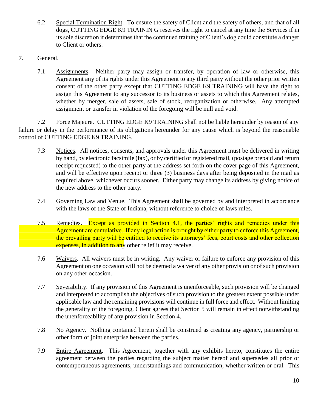- 6.2 Special Termination Right. To ensure the safety of Client and the safety of others, and that of all dogs, CUTTING EDGE K9 TRAININ G reserves the right to cancel at any time the Services if in its sole discretion it determines that the continued training of Client's dog could constitute a danger to Client or others.
- 7. General.
	- 7.1 Assignments. Neither party may assign or transfer, by operation of law or otherwise, this Agreement any of its rights under this Agreement to any third party without the other prior written consent of the other party except that CUTTING EDGE K9 TRAINING will have the right to assign this Agreement to any successor to its business or assets to which this Agreement relates, whether by merger, sale of assets, sale of stock, reorganization or otherwise. Any attempted assignment or transfer in violation of the foregoing will be null and void.

7.2 Force Majeure. CUTTING EDGE K9 TRAINING shall not be liable hereunder by reason of any failure or delay in the performance of its obligations hereunder for any cause which is beyond the reasonable control of CUTTING EDGE K9 TRAINING.

- 7.3 Notices. All notices, consents, and approvals under this Agreement must be delivered in writing by hand, by electronic facsimile (fax), or by certified or registered mail, (postage prepaid and return receipt requested) to the other party at the address set forth on the cover page of this Agreement, and will be effective upon receipt or three (3) business days after being deposited in the mail as required above, whichever occurs sooner. Either party may change its address by giving notice of the new address to the other party.
- 7.4 Governing Law and Venue. This Agreement shall be governed by and interpreted in accordance with the laws of the State of Indiana, without reference to choice of laws rules.
- 7.5 Remedies. Except as provided in Section 4.1, the parties' rights and remedies under this Agreement are cumulative. If any legal action is brought by either party to enforce this Agreement, the prevailing party will be entitled to receive its attorneys' fees, court costs and other collection expenses, in addition to any other relief it may receive.
- 7.6 Waivers. All waivers must be in writing. Any waiver or failure to enforce any provision of this Agreement on one occasion will not be deemed a waiver of any other provision or of such provision on any other occasion.
- 7.7 Severability. If any provision of this Agreement is unenforceable, such provision will be changed and interpreted to accomplish the objectives of such provision to the greatest extent possible under applicable law and the remaining provisions will continue in full force and effect. Without limiting the generality of the foregoing, Client agrees that Section 5 will remain in effect notwithstanding the unenforceability of any provision in Section 4.
- 7.8 No Agency. Nothing contained herein shall be construed as creating any agency, partnership or other form of joint enterprise between the parties.
- 7.9 Entire Agreement. This Agreement, together with any exhibits hereto, constitutes the entire agreement between the parties regarding the subject matter hereof and supersedes all prior or contemporaneous agreements, understandings and communication, whether written or oral. This